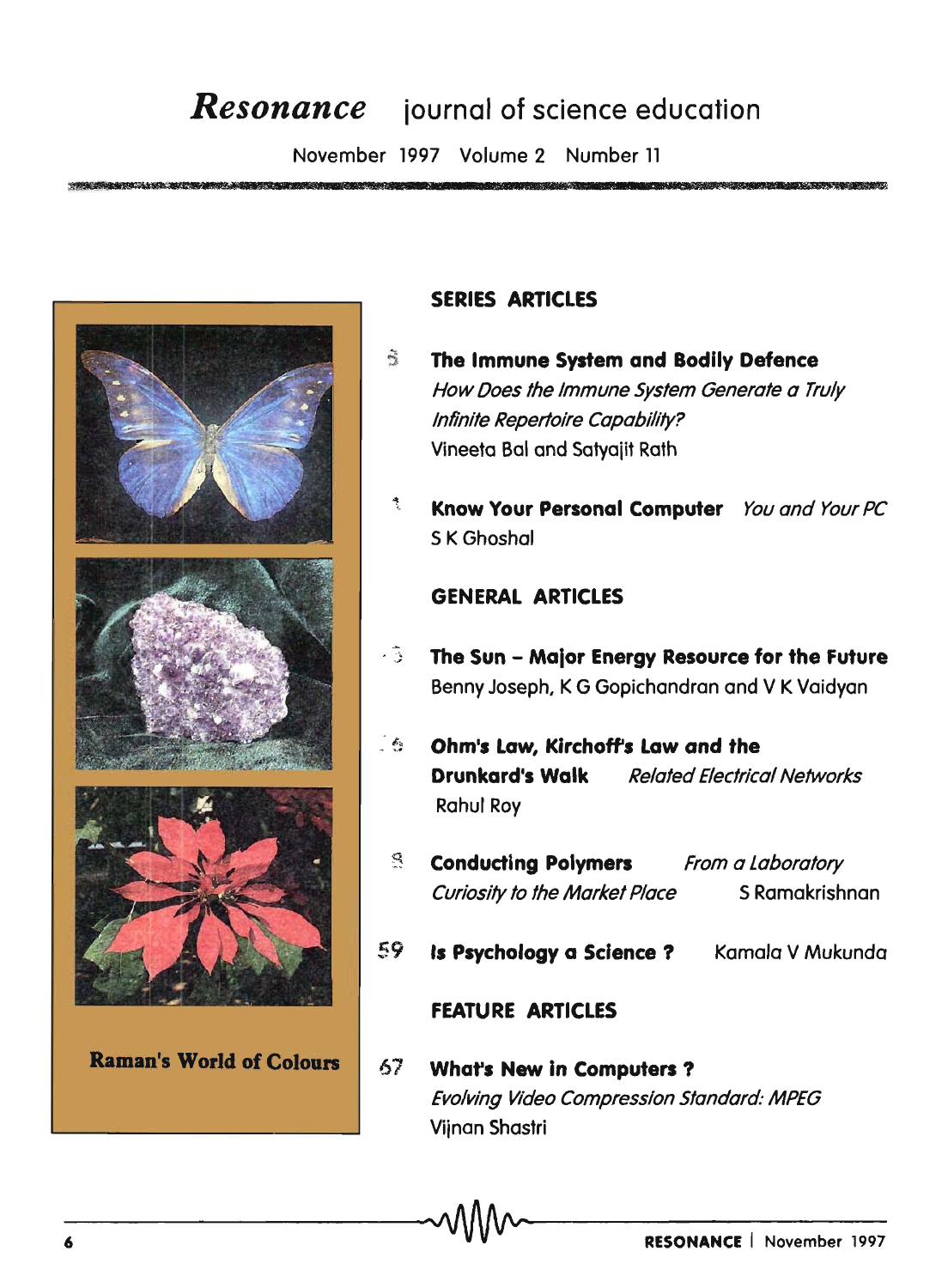# **Resonance** journal of science education

November 1997 Volume 2 Number 11



**Raman's World of Colours** 

# **SERIES ARTICLES**

- $\tilde{\omega}$ The Immune System and Bodily Defence How Does the Immune System Generate a Truly Infinite Repertoire Capability? Vineeta Bal and Satyajit Rath
	- Know Your Personal Computer You and Your PC S K Ghoshal

## **GENERAL ARTICLES**

- 31 The Sun - Major Energy Resource for the Future Benny Joseph, K G Gopichandran and V K Vaidyan
- $-\epsilon$ Ohm's Law, Kirchoff's Law and the Drunkard's Walk **Related Electrical Networks Rahul Roy** 
	- g. **Conducting Polymers** From a Laboratory S Ramakrishnan **Curiosity to the Market Place**
- 59 Is Psychology a Science ? Kamala V Mukunda

## **FEATURE ARTICLES**

67 **What's New in Computers?** Evolving Video Compression Standard: MPEG Vijnan Shastri